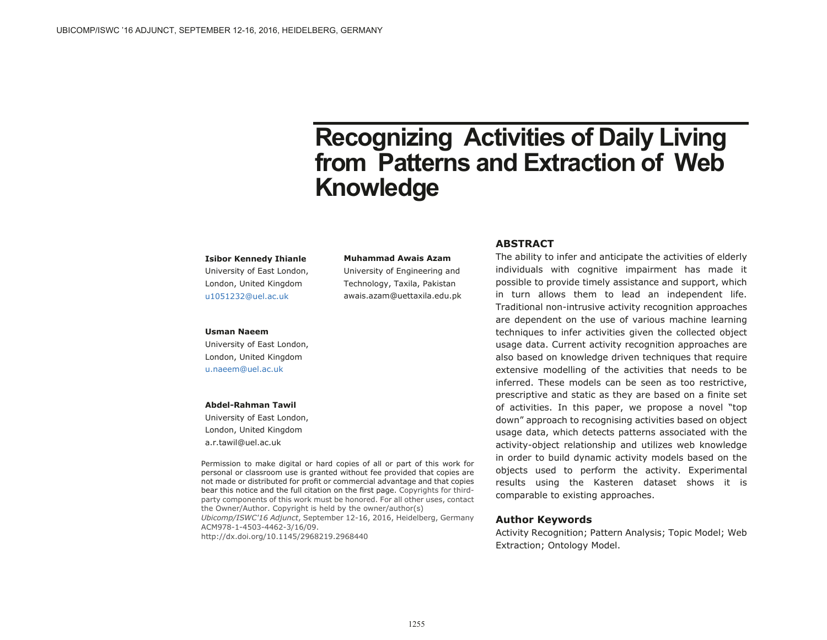# **Recognizing Activities of Daily Living from Patterns and Extraction of Web Knowledge**

#### **Isibor Kennedy Ihianle**

University of East London, London, United Kingdom [u1051232@uel.ac.uk](mailto:u1051232@uel.ac.uk)

#### **Muhammad Awais Azam**

University of Engineering and Technology, Taxila, Pakistan awais.azam@uettaxila.edu.pk

#### **Usman Naeem**

University of East London, London, United Kingdom [u.naeem@uel.ac.uk](mailto:u.naeem@uel.ac.uk)

#### **Abdel-Rahman Tawil**

University of East London, London, United Kingdom a.r.tawil@uel.ac.uk

Permission to make digital or hard copies of all or part of this work for personal or classroom use is granted without fee provided that copies are not made or distributed for profit or commercial advantage and that copies bear this notice and the full citation on the first page. Copyrights for thirdparty components of this work must be honored. For all other uses, contact the Owner/Author. Copyright is held by the owner/author(s) *Ubicomp/ISWC'16 Adjunct*, September 12-16, 2016, Heidelberg, Germany ACM978-1-4503-4462-3/16/09. http://dx.doi.org/10.1145/2968219.2968440

## **ABSTRACT**

The ability to infer and anticipate the activities of elderly individuals with cognitive impairment has made it possible to provide timely assistance and support, which in turn allows them to lead an independent life. Traditional non-intrusive activity recognition approaches are dependent on the use of various machine learning techniques to infer activities given the collected object usage data. Current activity recognition approaches are also based on knowledge driven techniques that require extensive modelling of the activities that needs to be inferred. These models can be seen as too restrictive, prescriptive and static as they are based on a finite set of activities. In this paper, we propose a novel "top down" approach to recognising activities based on object usage data, which detects patterns associated with the activity-object relationship and utilizes web knowledge in order to build dynamic activity models based on the objects used to perform the activity. Experimental results using the Kasteren dataset shows it is comparable to existing approaches.

#### **Author Keywords**

Activity Recognition; Pattern Analysis; Topic Model; Web Extraction; Ontology Model.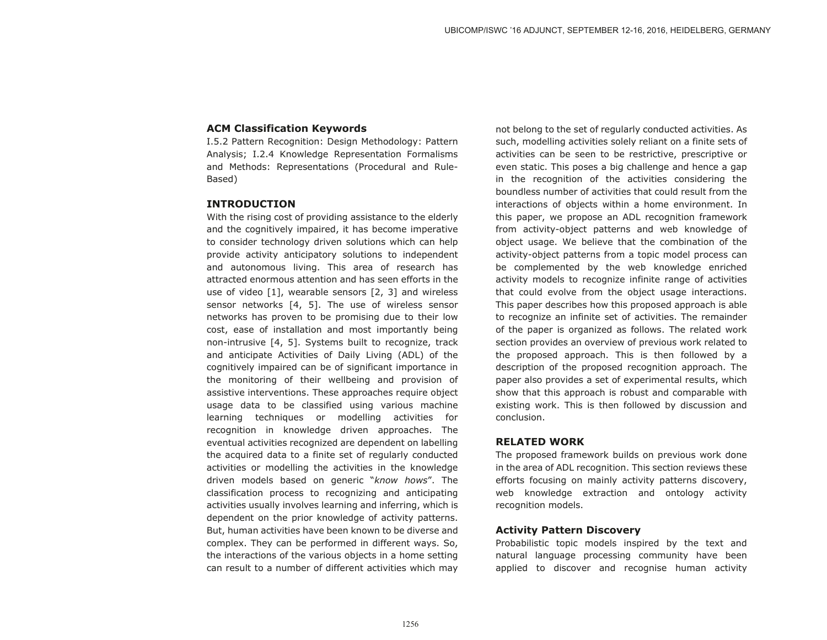## **ACM Classification Keywords**

I.5.2 Pattern Recognition: Design Methodology: Pattern Analysis; I.2.4 Knowledge Representation Formalisms and Methods: Representations (Procedural and Rule-Based)

#### **INTRODUCTION**

With the rising cost of providing assistance to the elderly and the cognitively impaired, it has become imperative to consider technology driven solutions which can help provide activity anticipatory solutions to independent and autonomous living. This area of research has attracted enormous attention and has seen efforts in the use of video [1], wearable sensors [2, 3] and wireless sensor networks [4, 5]. The use of wireless sensor networks has proven to be promising due to their low cost, ease of installation and most importantly being non-intrusive [4, 5]. Systems built to recognize, track and anticipate Activities of Daily Living (ADL) of the cognitively impaired can be of significant importance in the monitoring of their wellbeing and provision of assistive interventions. These approaches require object usage data to be classified using various machine learning techniques or modelling activities for recognition in knowledge driven approaches. The eventual activities recognized are dependent on labelling the acquired data to a finite set of regularly conducted activities or modelling the activities in the knowledge driven models based on generic "*know hows*". The classification process to recognizing and anticipating activities usually involves learning and inferring, which is dependent on the prior knowledge of activity patterns. But, human activities have been known to be diverse and complex. They can be performed in different ways. So, the interactions of the various objects in a home setting can result to a number of different activities which may

not belong to the set of regularly conducted activities. As such, modelling activities solely reliant on a finite sets of activities can be seen to be restrictive, prescriptive or even static. This poses a big challenge and hence a gap in the recognition of the activities considering the boundless number of activities that could result from the interactions of objects within a home environment. In this paper, we propose an ADL recognition framework from activity-object patterns and web knowledge of object usage. We believe that the combination of the activity-object patterns from a topic model process can be complemented by the web knowledge enriched activity models to recognize infinite range of activities that could evolve from the object usage interactions. This paper describes how this proposed approach is able to recognize an infinite set of activities. The remainder of the paper is organized as follows. The related work section provides an overview of previous work related to the proposed approach. This is then followed by a description of the proposed recognition approach. The paper also provides a set of experimental results, which show that this approach is robust and comparable with existing work. This is then followed by discussion and conclusion.

## **RELATED WORK**

The proposed framework builds on previous work done in the area of ADL recognition. This section reviews these efforts focusing on mainly activity patterns discovery, web knowledge extraction and ontology activity recognition models.

# **Activity Pattern Discovery**

Probabilistic topic models inspired by the text and natural language processing community have been applied to discover and recognise human activity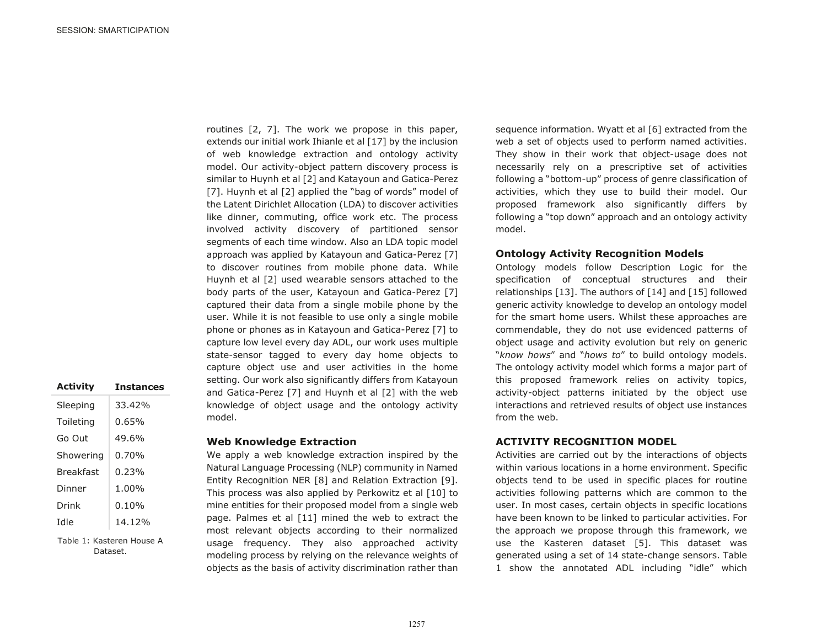routines [2, 7]. The work we propose in this paper, extends our initial work Ihianle et al [17] by the inclusion of web knowledge extraction and ontology activity model. Our activity-object pattern discovery process is similar to Huynh et al [2] and Katayoun and Gatica-Perez [7]. Huynh et al [2] applied the "bag of words" model of the Latent Dirichlet Allocation (LDA) to discover activities like dinner, commuting, office work etc. The process involved activity discovery of partitioned sensor segments of each time window. Also an LDA topic model approach was applied by Katayoun and Gatica-Perez [7] to discover routines from mobile phone data. While Huynh et al [2] used wearable sensors attached to the body parts of the user, Katayoun and Gatica-Perez [7] captured their data from a single mobile phone by the user. While it is not feasible to use only a single mobile phone or phones as in Katayoun and Gatica-Perez [7] to capture low level every day ADL, our work uses multiple state-sensor tagged to every day home objects to capture object use and user activities in the home setting. Our work also significantly differs from Katayoun and Gatica-Perez [7] and Huynh et al [2] with the web knowledge of object usage and the ontology activity model.

| <b>Activity</b>  | <b>Instances</b> |
|------------------|------------------|
| Sleeping         | 33.42%           |
| Toileting        | 0.65%            |
| Go Out           | 49.6%            |
| Showering        | $0.70\%$         |
| <b>Breakfast</b> | በ.23%            |
| Dinner           | 1.00%            |
| Drink            | $0.10\%$         |
| alhI             | 14.12%           |
|                  |                  |

Table 1: Kasteren House A Dataset.

# **Web Knowledge Extraction**

We apply a web knowledge extraction inspired by the Natural Language Processing (NLP) community in Named Entity Recognition NER [8] and Relation Extraction [9]. This process was also applied by Perkowitz et al [10] to mine entities for their proposed model from a single web page. Palmes et al [11] mined the web to extract the most relevant objects according to their normalized usage frequency. They also approached activity modeling process by relying on the relevance weights of objects as the basis of activity discrimination rather than

sequence information. Wyatt et al [6] extracted from the web a set of objects used to perform named activities. They show in their work that object-usage does not necessarily rely on a prescriptive set of activities following a "bottom-up" process of genre classification of activities, which they use to build their model. Our proposed framework also significantly differs by following a "top down" approach and an ontology activity model.

## **Ontology Activity Recognition Models**

Ontology models follow Description Logic for the specification of conceptual structures and their relationships [13]. The authors of [14] and [15] followed generic activity knowledge to develop an ontology model for the smart home users. Whilst these approaches are commendable, they do not use evidenced patterns of object usage and activity evolution but rely on generic "*know hows*" and "*hows to*" to build ontology models. The ontology activity model which forms a major part of this proposed framework relies on activity topics, activity-object patterns initiated by the object use interactions and retrieved results of object use instances from the web.

# **ACTIVITY RECOGNITION MODEL**

Activities are carried out by the interactions of objects within various locations in a home environment. Specific objects tend to be used in specific places for routine activities following patterns which are common to the user. In most cases, certain objects in specific locations have been known to be linked to particular activities. For the approach we propose through this framework, we use the Kasteren dataset [5]. This dataset was generated using a set of 14 state-change sensors. Table 1 show the annotated ADL including "idle" which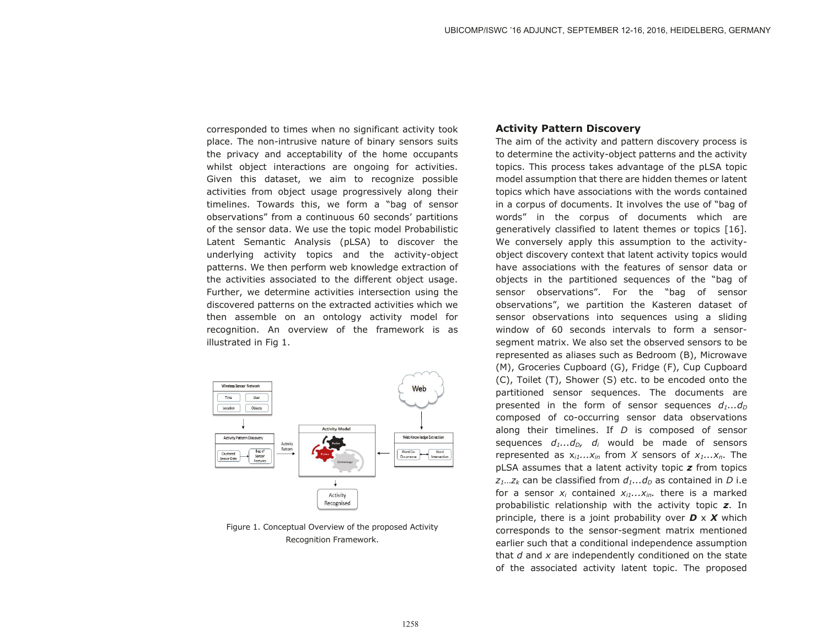corresponded to times when no significant activity took place. The non-intrusive nature of binary sensors suits the privacy and acceptability of the home occupants whilst object interactions are ongoing for activities. Given this dataset, we aim to recognize possible activities from object usage progressively along their timelines. Towards this, we form a "bag of sensor observations" from a continuous 60 seconds' partitions of the sensor data. We use the topic model Probabilistic Latent Semantic Analysis (pLSA) to discover the underlying activity topics and the activity-object patterns. We then perform web knowledge extraction of the activities associated to the different object usage. Further, we determine activities intersection using the discovered patterns on the extracted activities which we then assemble on an ontology activity model for recognition. An overview of the framework is as illustrated in Fig 1.



Figure 1. Conceptual Overview of the proposed Activity Recognition Framework.

# **Activity Pattern Discovery**

The aim of the activity and pattern discovery process is to determine the activity-object patterns and the activity topics. This process takes advantage of the pLSA topic model assumption that there are hidden themes or latent topics which have associations with the words contained in a corpus of documents. It involves the use of "bag of words" in the corpus of documents which are generatively classified to latent themes or topics [16]. We conversely apply this assumption to the activityobject discovery context that latent activity topics would have associations with the features of sensor data or objects in the partitioned sequences of the "bag of sensor observations". For the "bag of sensor observations", we partition the Kasteren dataset of sensor observations into sequences using a sliding window of 60 seconds intervals to form a sensorsegment matrix. We also set the observed sensors to be represented as aliases such as Bedroom (B), Microwave (M), Groceries Cupboard (G), Fridge (F), Cup Cupboard (C), Toilet (T), Shower (S) etc. to be encoded onto the partitioned sensor sequences. The documents are presented in the form of sensor sequences  $d_1...d_p$ composed of co-occurring sensor data observations along their timelines. If *D* is composed of sensor sequences  $d_1...d_n$ ,  $d_i$  would be made of sensors represented as  $x_{i1}...x_{in}$  from *X* sensors of  $x_1...x_n$ . The pLSA assumes that a latent activity topic *z* from topics  $z_1...z_k$  can be classified from  $d_1...d_n$  as contained in *D* i.e for a sensor  $x_i$  contained  $x_{i1}...x_{in}$ , there is a marked probabilistic relationship with the activity topic *z*. In principle, there is a joint probability over *D* x *X* which corresponds to the sensor-segment matrix mentioned earlier such that a conditional independence assumption that *d* and *x* are independently conditioned on the state of the associated activity latent topic. The proposed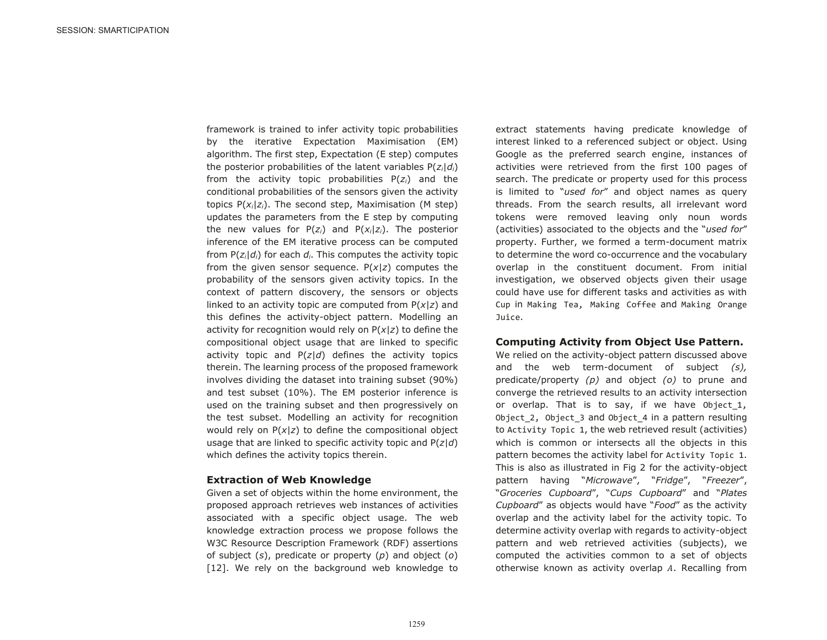framework is trained to infer activity topic probabilities by the iterative Expectation Maximisation (EM) algorithm. The first step, Expectation (E step) computes the posterior probabilities of the latent variables P(*zi*|*di*) from the activity topic probabilities P(*zi*) and the conditional probabilities of the sensors given the activity topics P(*xi*|*zi*). The second step, Maximisation (M step) updates the parameters from the E step by computing the new values for  $P(z_i)$  and  $P(x_i|z_i)$ . The posterior inference of the EM iterative process can be computed from P(*zi*|*di*) for each *di*. This computes the activity topic from the given sensor sequence. P(*x*|*z*) computes the probability of the sensors given activity topics. In the context of pattern discovery, the sensors or objects linked to an activity topic are computed from P(*x*|*z*) and this defines the activity-object pattern. Modelling an activity for recognition would rely on P(*x*|*z*) to define the compositional object usage that are linked to specific activity topic and P(*z*|*d*) defines the activity topics therein. The learning process of the proposed framework involves dividing the dataset into training subset (90%) and test subset (10%). The EM posterior inference is used on the training subset and then progressively on the test subset. Modelling an activity for recognition would rely on P(*x*|*z*) to define the compositional object usage that are linked to specific activity topic and P(*z*|*d*) which defines the activity topics therein.

#### **Extraction of Web Knowledge**

Given a set of objects within the home environment, the proposed approach retrieves web instances of activities associated with a specific object usage. The web knowledge extraction process we propose follows the W3C Resource Description Framework (RDF) assertions of subject (*s*), predicate or property (*p*) and object (*o*) [12]. We rely on the background web knowledge to

extract statements having predicate knowledge of interest linked to a referenced subject or object. Using Google as the preferred search engine, instances of activities were retrieved from the first 100 pages of search. The predicate or property used for this process is limited to "*used for*" and object names as query threads. From the search results, all irrelevant word tokens were removed leaving only noun words (activities) associated to the objects and the "*used for*" property. Further, we formed a term-document matrix to determine the word co-occurrence and the vocabulary overlap in the constituent document. From initial investigation, we observed objects given their usage could have use for different tasks and activities as with Cup in Making Tea, Making Coffee and Making Orange Juice.

#### **Computing Activity from Object Use Pattern.**

We relied on the activity-object pattern discussed above and the web term-document of subject *(s),* predicate/property *(p)* and object *(o)* to prune and converge the retrieved results to an activity intersection or overlap. That is to say, if we have Object 1, Object 2, Object 3 and Object 4 in a pattern resulting to Activity Topic 1, the web retrieved result (activities) which is common or intersects all the objects in this pattern becomes the activity label for Activity Topic 1. This is also as illustrated in Fig 2 for the activity-object pattern having "*Microwave*", "*Fridge*", "*Freezer*", "*Groceries Cupboard*", "*Cups Cupboard*" and "*Plates Cupboard*" as objects would have "*Food*" as the activity overlap and the activity label for the activity topic. To determine activity overlap with regards to activity-object pattern and web retrieved activities (subjects), we computed the activities common to a set of objects otherwise known as activity overlap  $A$ . Recalling from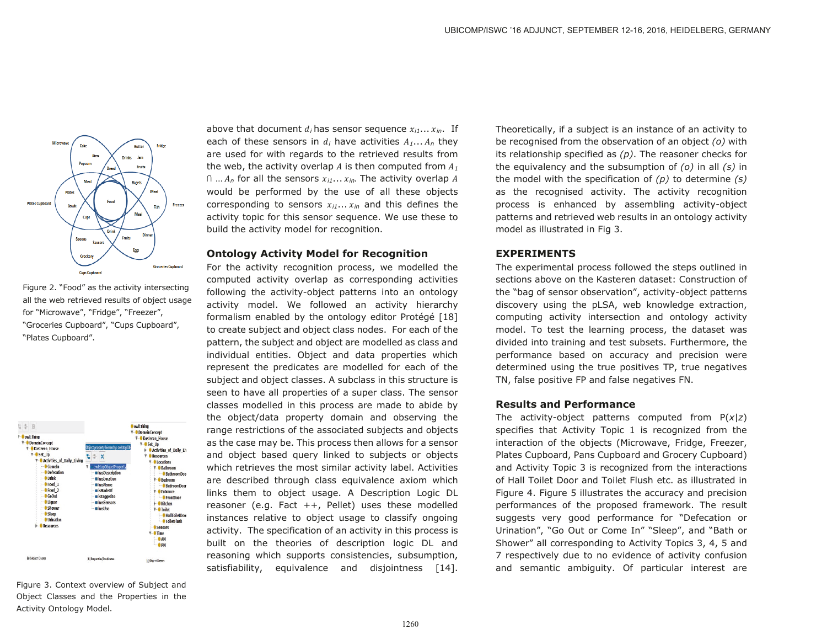

Figure 2. "Food" as the activity intersecting all the web retrieved results of object usage for "Microwave", "Fridge", "Freezer", "Groceries Cupboard", "Cups Cupboard", "Plates Cupboard".



Figure 3. Context overview of Subject and Object Classes and the Properties in the Activity Ontology Model.

above that document  $d_i$  has sensor sequence  $x_{i1} \ldots x_{in}$ . If each of these sensors in  $d_i$  have activities  $A_1... A_n$  they are used for with regards to the retrieved results from the web, the activity overlap  $A$  is then computed from  $A_I$  $\cap$  ...  $A_n$  for all the sensors  $x_{i1}$ ...  $x_{in}$ . The activity overlap A would be performed by the use of all these objects corresponding to sensors  $x_{i1} \ldots x_{in}$  and this defines the activity topic for this sensor sequence. We use these to build the activity model for recognition.

#### **Ontology Activity Model for Recognition**

For the activity recognition process, we modelled the computed activity overlap as corresponding activities following the activity-object patterns into an ontology activity model. We followed an activity hierarchy formalism enabled by the ontology editor Protégé [18] to create subject and object class nodes. For each of the pattern, the subject and object are modelled as class and individual entities. Object and data properties which represent the predicates are modelled for each of the subject and object classes. A subclass in this structure is seen to have all properties of a super class. The sensor classes modelled in this process are made to abide by the object/data property domain and observing the range restrictions of the associated subjects and objects as the case may be. This process then allows for a sensor and object based query linked to subjects or objects which retrieves the most similar activity label. Activities are described through class equivalence axiom which links them to object usage. A Description Logic DL reasoner (e.g. Fact ++, Pellet) uses these modelled instances relative to object usage to classify ongoing activity. The specification of an activity in this process is built on the theories of description logic DL and reasoning which supports consistencies, subsumption, satisfiability, equivalence and disjointness [14].

Theoretically, if a subject is an instance of an activity to be recognised from the observation of an object *(o)* with its relationship specified as *(p)*. The reasoner checks for the equivalency and the subsumption of *(o)* in all *(s)* in the model with the specification of *(p)* to determine *(s)* as the recognised activity. The activity recognition process is enhanced by assembling activity-object patterns and retrieved web results in an ontology activity model as illustrated in Fig 3.

# **EXPERIMENTS**

The experimental process followed the steps outlined in sections above on the Kasteren dataset: Construction of the "bag of sensor observation", activity-object patterns discovery using the pLSA, web knowledge extraction, computing activity intersection and ontology activity model. To test the learning process, the dataset was divided into training and test subsets. Furthermore, the performance based on accuracy and precision were determined using the true positives TP, true negatives TN, false positive FP and false negatives FN.

# **Results and Performance**

The activity-object patterns computed from P(*x*|*z*) specifies that Activity Topic 1 is recognized from the interaction of the objects (Microwave, Fridge, Freezer, Plates Cupboard, Pans Cupboard and Grocery Cupboard) and Activity Topic 3 is recognized from the interactions of Hall Toilet Door and Toilet Flush etc. as illustrated in Figure 4. Figure 5 illustrates the accuracy and precision performances of the proposed framework. The result suggests very good performance for "Defecation or Urination", "Go Out or Come In" "Sleep", and "Bath or Shower" all corresponding to Activity Topics 3, 4, 5 and 7 respectively due to no evidence of activity confusion and semantic ambiguity. Of particular interest are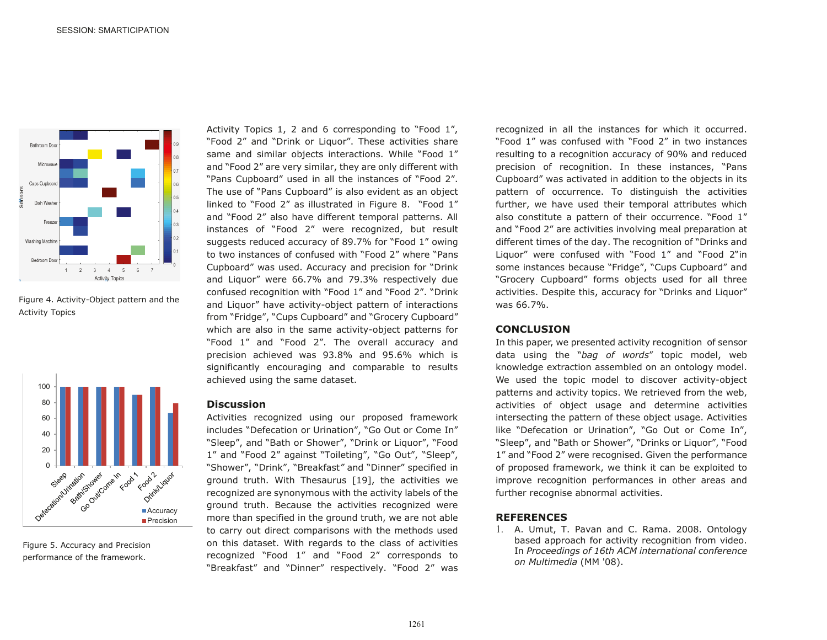

Figure 4. Activity-Object pattern and the Activity Topics



Figure 5. Accuracy and Precision performance of the framework.

Activity Topics 1, 2 and 6 corresponding to "Food 1", "Food 2" and "Drink or Liquor". These activities share same and similar objects interactions. While "Food 1" and "Food 2" are very similar, they are only different with "Pans Cupboard" used in all the instances of "Food 2". The use of "Pans Cupboard" is also evident as an object linked to "Food 2" as illustrated in Figure 8. "Food 1" and "Food 2" also have different temporal patterns. All instances of "Food 2" were recognized, but result suggests reduced accuracy of 89.7% for "Food 1" owing to two instances of confused with "Food 2" where "Pans Cupboard" was used. Accuracy and precision for "Drink and Liquor" were 66.7% and 79.3% respectively due confused recognition with "Food 1" and "Food 2". "Drink and Liquor" have activity-object pattern of interactions from "Fridge", "Cups Cupboard" and "Grocery Cupboard" which are also in the same activity-object patterns for "Food 1" and "Food 2". The overall accuracy and precision achieved was 93.8% and 95.6% which is significantly encouraging and comparable to results achieved using the same dataset.

# **Discussion**

Activities recognized using our proposed framework includes "Defecation or Urination", "Go Out or Come In" "Sleep", and "Bath or Shower", "Drink or Liquor", "Food 1" and "Food 2" against "Toileting", "Go Out", "Sleep", "Shower", "Drink", "Breakfast*"* and "Dinner" specified in ground truth. With Thesaurus [19], the activities we recognized are synonymous with the activity labels of the ground truth. Because the activities recognized were more than specified in the ground truth, we are not able to carry out direct comparisons with the methods used on this dataset. With regards to the class of activities recognized "Food 1" and "Food 2" corresponds to "Breakfast" and "Dinner" respectively. "Food 2" was

recognized in all the instances for which it occurred. "Food 1" was confused with "Food 2" in two instances resulting to a recognition accuracy of 90% and reduced precision of recognition. In these instances, "Pans Cupboard" was activated in addition to the objects in its pattern of occurrence. To distinguish the activities further, we have used their temporal attributes which also constitute a pattern of their occurrence. "Food 1" and "Food 2" are activities involving meal preparation at different times of the day. The recognition of "Drinks and Liquor" were confused with "Food 1" and "Food 2"in some instances because "Fridge", "Cups Cupboard" and "Grocery Cupboard" forms objects used for all three activities. Despite this, accuracy for "Drinks and Liquor" was 66.7%.

#### **CONCLUSION**

In this paper, we presented activity recognition of sensor data using the "*bag of words*" topic model, web knowledge extraction assembled on an ontology model. We used the topic model to discover activity-object patterns and activity topics. We retrieved from the web, activities of object usage and determine activities intersecting the pattern of these object usage. Activities like "Defecation or Urination", "Go Out or Come In", "Sleep", and "Bath or Shower", "Drinks or Liquor", "Food 1" and "Food 2" were recognised. Given the performance of proposed framework, we think it can be exploited to improve recognition performances in other areas and further recognise abnormal activities.

# **REFERENCES**

 A. Umut, T. Pavan and C. Rama. 2008. Ontology based approach for activity recognition from video. In *Proceedings of 16th ACM international conference on Multimedia* (MM '08).